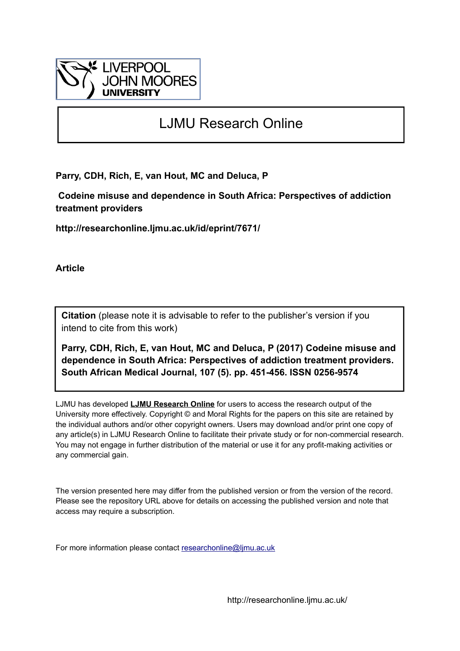

# LJMU Research Online

**Parry, CDH, Rich, E, van Hout, MC and Deluca, P**

 **Codeine misuse and dependence in South Africa: Perspectives of addiction treatment providers**

**http://researchonline.ljmu.ac.uk/id/eprint/7671/**

**Article**

**Citation** (please note it is advisable to refer to the publisher's version if you intend to cite from this work)

**Parry, CDH, Rich, E, van Hout, MC and Deluca, P (2017) Codeine misuse and dependence in South Africa: Perspectives of addiction treatment providers. South African Medical Journal, 107 (5). pp. 451-456. ISSN 0256-9574** 

LJMU has developed **[LJMU Research Online](http://researchonline.ljmu.ac.uk/)** for users to access the research output of the University more effectively. Copyright © and Moral Rights for the papers on this site are retained by the individual authors and/or other copyright owners. Users may download and/or print one copy of any article(s) in LJMU Research Online to facilitate their private study or for non-commercial research. You may not engage in further distribution of the material or use it for any profit-making activities or any commercial gain.

The version presented here may differ from the published version or from the version of the record. Please see the repository URL above for details on accessing the published version and note that access may require a subscription.

For more information please contact [researchonline@ljmu.ac.uk](mailto:researchonline@ljmu.ac.uk)

http://researchonline.ljmu.ac.uk/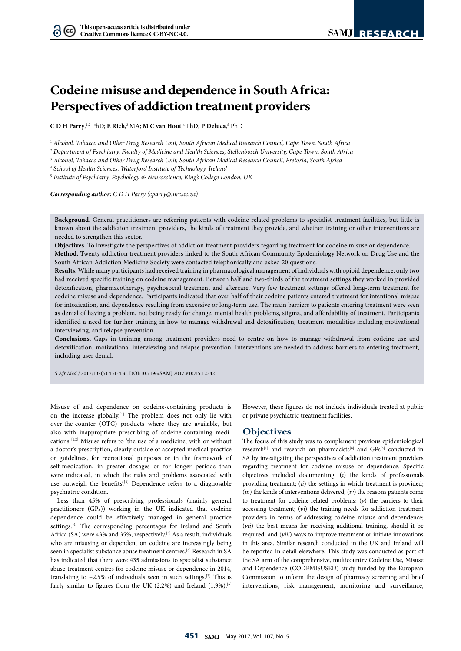# **Codeine misuse and dependence in South Africa: Perspectives of addiction treatment providers**

**C D H Parry**, 1.2 PhD; **E Rich**, <sup>3</sup> MA; **M C van Hout**, 4 PhD; **P Deluca**, 5 PhD

<sup>1</sup> *Alcohol, Tobacco and Other Drug Research Unit, South African Medical Research Council, Cape Town, South Africa*

<sup>2</sup> *Department of Psychiatry, Faculty of Medicine and Health Sciences, Stellenbosch University, Cape Town, South Africa*

<sup>3</sup> *Alcohol, Tobacco and Other Drug Research Unit, South African Medical Research Council, Pretoria, South Africa*

<sup>4</sup> *School of Health Sciences, Waterford Institute of Technology, Ireland*

<sup>5</sup> *Institute of Psychiatry, Psychology & Neuroscience, King's College London, UK*

*Corresponding author: C D H Parry (cparry@mrc.ac.za)*

**Background.** General practitioners are referring patients with codeine-related problems to specialist treatment facilities, but little is known about the addiction treatment providers, the kinds of treatment they provide, and whether training or other interventions are needed to strengthen this sector.

**Objectives.** To investigate the perspectives of addiction treatment providers regarding treatment for codeine misuse or dependence.

**Method.** Twenty addiction treatment providers linked to the South African Community Epidemiology Network on Drug Use and the South African Addiction Medicine Society were contacted telephonically and asked 20 questions.

**Results.** While many participants had received training in pharmacological management of individuals with opioid dependence, only two had received specific training on codeine management. Between half and two-thirds of the treatment settings they worked in provided detoxification, pharmacotherapy, psychosocial treatment and aftercare. Very few treatment settings offered long-term treatment for codeine misuse and dependence. Participants indicated that over half of their codeine patients entered treatment for intentional misuse for intoxication, and dependence resulting from excessive or long-term use. The main barriers to patients entering treatment were seen as denial of having a problem, not being ready for change, mental health problems, stigma, and affordability of treatment. Participants identified a need for further training in how to manage withdrawal and detoxification, treatment modalities including motivational interviewing, and relapse prevention.

**Conclusions.** Gaps in training among treatment providers need to centre on how to manage withdrawal from codeine use and detoxification, motivational interviewing and relapse prevention. Interventions are needed to address barriers to entering treatment, including user denial.

*S Afr Med J* 2017;107(5):451-456. DOI:10.7196/SAMJ.2017.v107i5.12242

Misuse of and dependence on codeine-containing products is on the increase globally.<sup>[1]</sup> The problem does not only lie with over-the-counter (OTC) products where they are available, but also with inappropriate prescribing of codeine-containing medications.[1,2] Misuse refers to 'the use of a medicine, with or without a doctor's prescription, clearly outside of accepted medical practice or guidelines, for recreational purposes or in the framework of self-medication, in greater dosages or for longer periods than were indicated, in which the risks and problems associated with use outweigh the benefits'.<sup>[3]</sup> Dependence refers to a diagnosable psychiatric condition.

Less than 45% of prescribing professionals (mainly general practitioners (GPs)) working in the UK indicated that codeine dependence could be effectively managed in general practice settings.<sup>[4]</sup> The corresponding percentages for Ireland and South Africa (SA) were 43% and 35%, respectively.<sup>[5]</sup> As a result, individuals who are misusing or dependent on codeine are increasingly being seen in specialist substance abuse treatment centres.<sup>[6]</sup> Research in SA has indicated that there were 435 admissions to specialist substance abuse treatment centres for codeine misuse or dependence in 2014, translating to  $\sim$ 2.5% of individuals seen in such settings.<sup>[7]</sup> This is fairly similar to figures from the UK  $(2.2%)$  and Ireland  $(1.9%).[6]$ 

However, these figures do not include individuals treated at public or private psychiatric treatment facilities.

## **Objectives**

The focus of this study was to complement previous epidemiological research<sup>[1]</sup> and research on pharmacists<sup>[8]</sup> and GPs<sup>[5]</sup> conducted in SA by investigating the perspectives of addiction treatment providers regarding treatment for codeine misuse or dependence. Specific objectives included documenting: (*i*) the kinds of professionals providing treatment; (*ii*) the settings in which treatment is provided; (*iii*) the kinds of interventions delivered; (*iv*) the reasons patients come to treatment for codeine-related problems; (*v*) the barriers to their accessing treatment; (*vi*) the training needs for addiction treatment providers in terms of addressing codeine misuse and dependence; (*vii*) the best means for receiving additional training, should it be required; and (*viii*) ways to improve treatment or initiate innovations in this area. Similar research conducted in the UK and Ireland will be reported in detail elsewhere. This study was conducted as part of the SA arm of the comprehensive, multicountry Codeine Use, Misuse and Dependence (CODEMISUSED) study funded by the European Commission to inform the design of pharmacy screening and brief interventions, risk management, monitoring and surveillance,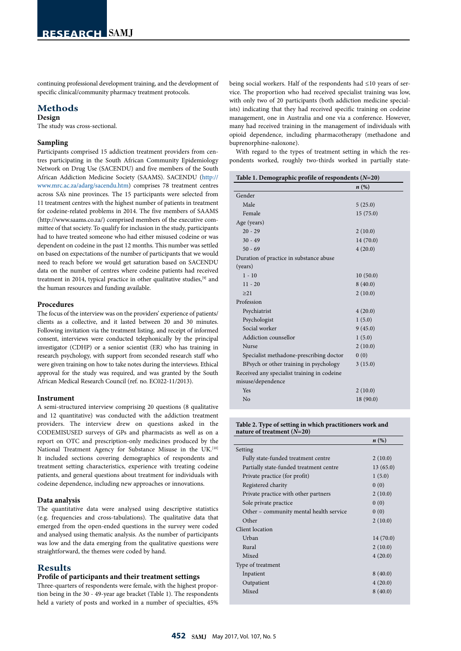continuing professional development training, and the development of specific clinical/community pharmacy treatment protocols.

## **Methods**

#### **Design**

The study was cross-sectional.

## **Sampling**

Participants comprised 15 addiction treatment providers from centres participating in the South African Community Epidemiology Network on Drug Use (SACENDU) and five members of the South African Addiction Medicine Society (SAAMS). SACENDU ([http://](http://www.mrc.ac.za/adarg/sacendu.htm) [www.mrc.ac.za/adarg/sacendu.htm](http://www.mrc.ac.za/adarg/sacendu.htm)) comprises 78 treatment centres across SA's nine provinces. The 15 participants were selected from 11 treatment centres with the highest number of patients in treatment for codeine-related problems in 2014. The five members of SAAMS (http://www.saams.co.za/) comprised members of the executive committee of that society. To qualify for inclusion in the study, participants had to have treated someone who had either misused codeine or was dependent on codeine in the past 12 months. This number was settled on based on expectations of the number of participants that we would need to reach before we would get saturation based on SACENDU data on the number of centres where codeine patients had received treatment in 2014, typical practice in other qualitative studies,[9] and the human resources and funding available.

## **Procedures**

The focus of the interview was on the providers' experience of patients/ clients as a collective, and it lasted between 20 and 30 minutes. Following invitation via the treatment listing, and receipt of informed consent, interviews were conducted telephonically by the principal investigator (CDHP) or a senior scientist (ER) who has training in research psychology, with support from seconded research staff who were given training on how to take notes during the interviews. Ethical approval for the study was required, and was granted by the South African Medical Research Council (ref. no. EC022-11/2013).

## **Instrument**

A semi-structured interview comprising 20 questions (8 qualitative and 12 quantitative) was conducted with the addiction treatment providers. The interview drew on questions asked in the CODEMISUSED surveys of GPs and pharmacists as well as on a report on OTC and prescription-only medicines produced by the National Treatment Agency for Substance Misuse in the UK.<sup>[10]</sup> It included sections covering demographics of respondents and treatment setting characteristics, experience with treating codeine patients, and general questions about treatment for individuals with codeine dependence, including new approaches or innovations.

## **Data analysis**

The quantitative data were analysed using descriptive statistics (e.g. frequencies and cross-tabulations). The qualitative data that emerged from the open-ended questions in the survey were coded and analysed using thematic analysis. As the number of participants was low and the data emerging from the qualitative questions were straightforward, the themes were coded by hand.

# **Results**

## **Profile of participants and their treatment settings**

Three-quarters of respondents were female, with the highest proportion being in the 30 - 49-year age bracket (Table 1). The respondents held a variety of posts and worked in a number of specialties, 45%

being social workers. Half of the respondents had ≤10 years of service. The proportion who had received specialist training was low, with only two of 20 participants (both addiction medicine specialists) indicating that they had received specific training on codeine management, one in Australia and one via a conference. However, many had received training in the management of individuals with opioid dependence, including pharmacotherapy (methadone and buprenorphine-naloxone).

With regard to the types of treatment setting in which the respondents worked, roughly two-thirds worked in partially state-

|                                             | $n\left(\%\right)$ |
|---------------------------------------------|--------------------|
| Gender                                      |                    |
| Male                                        | 5(25.0)            |
| Female                                      | 15(75.0)           |
| Age (years)                                 |                    |
| $20 - 29$                                   | 2(10.0)            |
| $30 - 49$                                   | 14(70.0)           |
| $50 - 69$                                   | 4(20.0)            |
| Duration of practice in substance abuse     |                    |
| (years)                                     |                    |
| $1 - 10$                                    | 10(50.0)           |
| $11 - 20$                                   | 8(40.0)            |
| >21                                         | 2(10.0)            |
| Profession                                  |                    |
| Psychiatrist                                | 4(20.0)            |
| Psychologist                                | 1(5.0)             |
| Social worker                               | 9(45.0)            |
| Addiction counsellor                        | 1(5.0)             |
| <b>Nurse</b>                                | 2(10.0)            |
| Specialist methadone-prescribing doctor     | 0(0)               |
| BPsych or other training in psychology      | 3(15.0)            |
| Received any specialist training in codeine |                    |
| misuse/dependence                           |                    |
| <b>Yes</b>                                  | 2(10.0)            |
| No                                          | 18(90.0)           |

#### **Table 2. Type of setting in which practitioners work and nature of treatment (***N***=20)**

|                                         | n(%)     |
|-----------------------------------------|----------|
| Setting                                 |          |
| Fully state-funded treatment centre     | 2(10.0)  |
| Partially state-funded treatment centre | 13(65.0) |
| Private practice (for profit)           | 1(5.0)   |
| Registered charity                      | 0(0)     |
| Private practice with other partners    | 2(10.0)  |
| Sole private practice                   | 0(0)     |
| Other – community mental health service | 0(0)     |
| Other                                   | 2(10.0)  |
| Client location                         |          |
| Urban                                   | 14(70.0) |
| Rural                                   | 2(10.0)  |
| Mixed                                   | 4(20.0)  |
| Type of treatment                       |          |
| Inpatient                               | 8(40.0)  |
| Outpatient                              | 4(20.0)  |
| Mixed                                   | 8(40.0)  |
|                                         |          |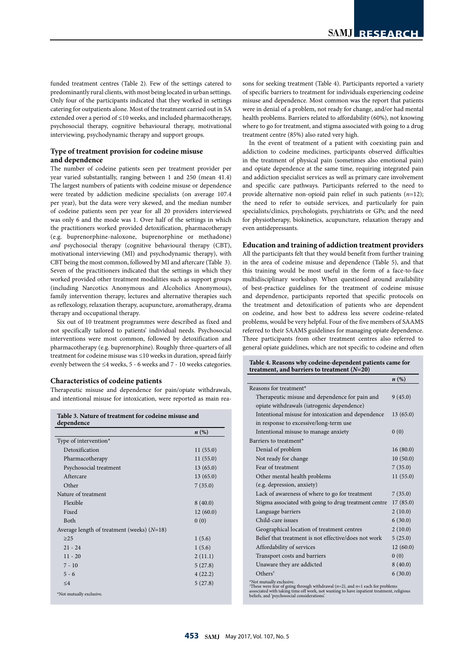funded treatment centres (Table 2). Few of the settings catered to predominantly rural clients, with most being located in urban settings. Only four of the participants indicated that they worked in settings catering for outpatients alone. Most of the treatment carried out in SA extended over a period of ≤10 weeks, and included pharmacotherapy, psychosocial therapy, cognitive behavioural therapy, motivational interviewing, psychodynamic therapy and support groups.

## **Type of treatment provision for codeine misuse and dependence**

The number of codeine patients seen per treatment provider per year varied substantially, ranging between 1 and 250 (mean 41.4) The largest numbers of patients with codeine misuse or dependence were treated by addiction medicine specialists (on average 107.4 per year), but the data were very skewed, and the median number of codeine patients seen per year for all 20 providers interviewed was only 6 and the mode was 1. Over half of the settings in which the practitioners worked provided detoxification, pharmacotherapy (e.g. buprenorphine-naloxone, buprenorphine or methadone) *and* psychosocial therapy (cognitive behavioural therapy (CBT), motivational interviewing (MI) and psychodynamic therapy), with CBT being the most common, followed by MI and aftercare (Table 3). Seven of the practitioners indicated that the settings in which they worked provided other treatment modalities such as support groups (including Narcotics Anonymous and Alcoholics Anonymous), family intervention therapy, lectures and alternative therapies such as reflexology, relaxation therapy, acupuncture, aromatherapy, drama therapy and occupational therapy.

Six out of 10 treatment programmes were described as fixed and not specifically tailored to patients' individual needs. Psychosocial interventions were most common, followed by detoxification and pharmacotherapy (e.g. buprenorphine). Roughly three-quarters of all treatment for codeine misuse was ≤10 weeks in duration, spread fairly evenly between the ≤4 weeks, 5 - 6 weeks and 7 - 10 weeks categories.

## **Characteristics of codeine patients**

Therapeutic misuse and dependence for pain/opiate withdrawals, and intentional misuse for intoxication, were reported as main rea-

|                                              | $n\left(\%\right)$ |
|----------------------------------------------|--------------------|
| Type of intervention*                        |                    |
| Detoxification                               | 11(55.0)           |
| Pharmacotherapy                              | 11(55.0)           |
| Psychosocial treatment                       | 13(65.0)           |
| Aftercare                                    | 13(65.0)           |
| Other                                        | 7(35.0)            |
| Nature of treatment                          |                    |
| Flexible                                     | 8(40.0)            |
| Fixed                                        | 12(60.0)           |
| <b>B</b> oth                                 | 0(0)               |
| Average length of treatment (weeks) $(N=18)$ |                    |
| >25                                          | 1(5.6)             |
| $21 - 24$                                    | 1(5.6)             |
| $11 - 20$                                    | 2(11.1)            |
| $7 - 10$                                     | 5(27.8)            |
| $5 - 6$                                      | 4(22.2)            |
| $\leq 4$                                     | 5(27.8)            |

sons for seeking treatment (Table 4). Participants reported a variety of specific barriers to treatment for individuals experiencing codeine misuse and dependence. Most common was the report that patients were in denial of a problem, not ready for change, and/or had mental health problems. Barriers related to affordability (60%), not knowing where to go for treatment, and stigma associated with going to a drug treatment centre (85%) also rated very high.

In the event of treatment of a patient with coexisting pain and addiction to codeine medicines, participants observed difficulties in the treatment of physical pain (sometimes also emotional pain) and opiate dependence at the same time, requiring integrated pain and addiction specialist services as well as primary care involvement and specific care pathways. Participants referred to the need to provide alternative non-opioid pain relief in such patients (*n*=12); the need to refer to outside services, and particularly for pain specialists/clinics, psychologists, psychiatrists or GPs; and the need for physiotherapy, biokinetics, acupuncture, relaxation therapy and even antidepressants.

## **Education and training of addiction treatment providers**

All the participants felt that they would benefit from further training in the area of codeine misuse and dependence (Table 5), and that this training would be most useful in the form of a face-to-face multidisciplinary workshop. When questioned around availability of best-practice guidelines for the treatment of codeine misuse and dependence, participants reported that specific protocols on the treatment and detoxification of patients who are dependent on codeine, and how best to address less severe codeine-related problems, would be very helpful. Four of the five members of SAAMS referred to their SAAMS guidelines for managing opiate dependence. Three participants from other treatment centres also referred to general opiate guidelines, which are not specific to codeine and often

#### **Table 4. Reasons why codeine-dependent patients came for treatment, and barriers to treatment (***N***=20)**

|                                                                                                                 | n(%)     |
|-----------------------------------------------------------------------------------------------------------------|----------|
| Reasons for treatment*                                                                                          |          |
| Therapeutic misuse and dependence for pain and                                                                  | 9(45.0)  |
| opiate withdrawals (iatrogenic dependence)                                                                      |          |
| Intentional misuse for intoxication and dependence                                                              | 13(65.0) |
| in response to excessive/long-term use                                                                          |          |
| Intentional misuse to manage anxiety                                                                            | 0(0)     |
| Barriers to treatment*                                                                                          |          |
| Denial of problem                                                                                               | 16(80.0) |
| Not ready for change                                                                                            | 10(50.0) |
| Fear of treatment                                                                                               | 7(35.0)  |
| Other mental health problems                                                                                    | 11(55.0) |
| (e.g. depression, anxiety)                                                                                      |          |
| Lack of awareness of where to go for treatment                                                                  | 7(35.0)  |
| Stigma associated with going to drug treatment centre                                                           | 17(85.0) |
| Language barriers                                                                                               | 2(10.0)  |
| Child-care issues                                                                                               | 6(30.0)  |
| Geographical location of treatment centres                                                                      | 2(10.0)  |
| Belief that treatment is not effective/does not work                                                            | 5(25.0)  |
| Affordability of services                                                                                       | 12(60.0) |
| Transport costs and barriers                                                                                    | 0(0)     |
| Unaware they are addicted                                                                                       | 8(40.0)  |
| $Others^{\dagger}$                                                                                              | 6(30.0)  |
| *Not mutually exclusive.<br>$\alpha$ of action thousand suith document (a) $\alpha$ . The set of an about lease |          |

\*Not mutually exclusive.<br>'These were fear of going through withdrawal ( $n=2$ ), and  $n=1$  each for problems<br>associated with taking time off work, not wanting to have inpatient treatment, religious<br>beliefs, and 'psychosocia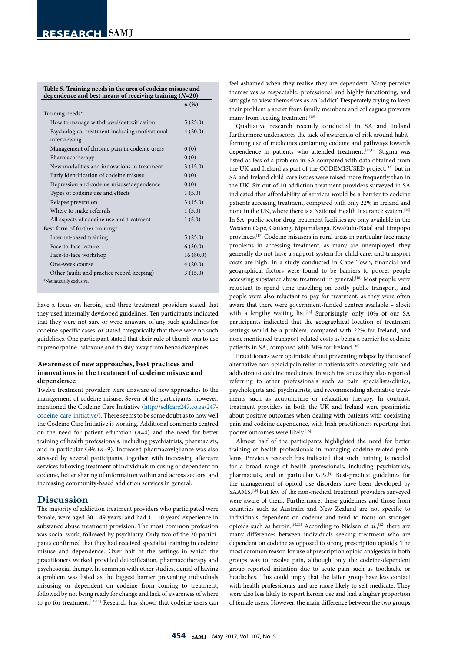| Table 5. Training needs in the area of codeine misuse and<br>dependence and best means of receiving training $(N=20)$ |          |  |
|-----------------------------------------------------------------------------------------------------------------------|----------|--|
|                                                                                                                       | n(%)     |  |
| Training needs*                                                                                                       |          |  |
| How to manage withdrawal/detoxification                                                                               | 5(25.0)  |  |
| Psychological treatment including motivational                                                                        | 4(20.0)  |  |
| interviewing                                                                                                          |          |  |
| Management of chronic pain in codeine users                                                                           | 0(0)     |  |
| Pharmacotherapy                                                                                                       | 0(0)     |  |
| New modalities and innovations in treatment                                                                           | 3(15.0)  |  |
| Early identification of codeine misuse                                                                                | 0(0)     |  |
| Depression and codeine misuse/dependence                                                                              | 0(0)     |  |
| Types of codeine use and effects                                                                                      | 1(5.0)   |  |
| Relapse prevention                                                                                                    | 3(15.0)  |  |
| Where to make referrals                                                                                               | 1(5.0)   |  |
| All aspects of codeine use and treatment                                                                              | 1(5.0)   |  |
| Best form of further training*                                                                                        |          |  |
| Internet-based training                                                                                               | 5(25.0)  |  |
| Face-to-face lecture                                                                                                  | 6(30.0)  |  |
| Face-to-face workshop                                                                                                 | 16(80.0) |  |
| One-week course                                                                                                       | 4(20.0)  |  |
| Other (audit and practice record keeping)                                                                             | 3(15.0)  |  |
| *Not mutually exclusive.                                                                                              |          |  |

have a focus on heroin, and three treatment providers stated that they used internally developed guidelines. Ten participants indicated that they were not sure or were unaware of any such guidelines for codeine-specific cases, or stated categorically that there were no such guidelines. One participant stated that their rule of thumb was to use buprenorphine-naloxone and to stay away from benzodiazepines.

## **Awareness of new approaches, best practices and innovations in the treatment of codeine misuse and dependence**

Twelve treatment providers were unaware of new approaches to the management of codeine misuse. Seven of the participants, however, mentioned the Codeine Care Initiative [\(http://selfcare247.co.za/247](http://selfcare247.co.za/247-codeine-care-initiative/) [codeine-care-initiative/\)](http://selfcare247.co.za/247-codeine-care-initiative/). There seems to be some doubt as to how well the Codeine Care Initiative is working. Additional comments centred on the need for patient education (*n*=4) and the need for better training of health professionals, including psychiatrists, pharmacists, and in particular GPs (*n*=9). Increased pharmacovigilance was also stressed by several participants, together with increasing aftercare services following treatment of individuals misusing or dependent on codeine, better sharing of information within and across sectors, and increasing community-based addiction services in general.

## **Discussion**

The majority of addiction treatment providers who participated were female, were aged 30 - 49 years, and had 1 - 10 years' experience in substance abuse treatment provision. The most common profession was social work, followed by psychiatry. Only two of the 20 participants confirmed that they had received specialist training in codeine misuse and dependence. Over half of the settings in which the practitioners worked provided detoxification, pharmacotherapy and psychosocial therapy. In common with other studies, denial of having a problem was listed as the biggest barrier preventing individuals misusing or dependent on codeine from coming to treatment, followed by not being ready for change and lack of awareness of where to go for treatment.<sup>[11-13]</sup> Research has shown that codeine users can

feel ashamed when they realise they are dependent. Many perceive themselves as respectable, professional and highly functioning, and struggle to view themselves as an 'addict'. Desperately trying to keep their problem a secret from family members and colleagues prevents many from seeking treatment.<sup>[13]</sup>

Qualitative research recently conducted in SA and Ireland furthermore underscores the lack of awareness of risk around habitforming use of medicines containing codeine and pathways towards dependence in patients who attended treatment.<sup>[14,15]</sup> Stigma was listed as less of a problem in SA compared with data obtained from the UK and Ireland as part of the CODEMISUSED project,<sup>[16]</sup> but in SA and Ireland child-care issues were raised more frequently than in the UK. Six out of 10 addiction treatment providers surveyed in SA indicated that affordability of services would be a barrier to codeine patients accessing treatment, compared with only 22% in Ireland and none in the UK, where there is a National Health Insurance system.<sup>[16]</sup> In SA, public sector drug treatment facilities are only available in the Western Cape, Gauteng, Mpumalanga, KwaZulu-Natal and Limpopo provinces.[17] Codeine misusers in rural areas in particular face many problems in accessing treatment, as many are unemployed, they generally do not have a support system for child care, and transport costs are high. In a study conducted in Cape Town, financial and geographical factors were found to be barriers to poorer people accessing substance abuse treatment in general.<sup>[18]</sup> Most people were reluctant to spend time travelling on costly public transport, and people were also reluctant to pay for treatment, as they were often aware that there were government-funded centres available – albeit with a lengthy waiting list.<sup>[14]</sup> Surprisingly, only 10% of our SA participants indicated that the geographical location of treatment settings would be a problem, compared with 22% for Ireland, and none mentioned transport-related costs as being a barrier for codeine patients in SA, compared with 30% for Ireland.<sup>[16]</sup>

Practitioners were optimistic about preventing relapse by the use of alternative non-opioid pain relief in patients with coexisting pain and addiction to codeine medicines. In such instances they also reported referring to other professionals such as pain specialists/clinics, psychologists and psychiatrists, and recommending alternative treatments such as acupuncture or relaxation therapy. In contrast, treatment providers in both the UK and Ireland were pessimistic about positive outcomes when dealing with patients with coexisting pain and codeine dependence, with Irish practitioners reporting that poorer outcomes were likely.[16]

Almost half of the participants highlighted the need for better training of health professionals in managing codeine-related problems. Previous research has indicated that such training is needed for a broad range of health professionals, including psychiatrists, pharmacists, and in particular GPs.[4] Best-practice guidelines for the management of opioid use disorders have been developed by SAAMS,<sup>[19]</sup> but few of the non-medical treatment providers surveyed were aware of them. Furthermore, these guidelines and those from countries such as Australia and New Zealand are not specific to individuals dependent on codeine and tend to focus on stronger opioids such as heroin.[20,21] According to Nielsen *et al*.,[22] there are many differences between individuals seeking treatment who are dependent on codeine as opposed to strong prescription opioids. The most common reason for use of prescription opioid analgesics in both groups was to resolve pain, although only the codeine-dependent group reported initiation due to acute pain such as toothache or headaches. This could imply that the latter group have less contact with health professionals and are more likely to self-medicate. They were also less likely to report heroin use and had a higher proportion of female users. However, the main difference between the two groups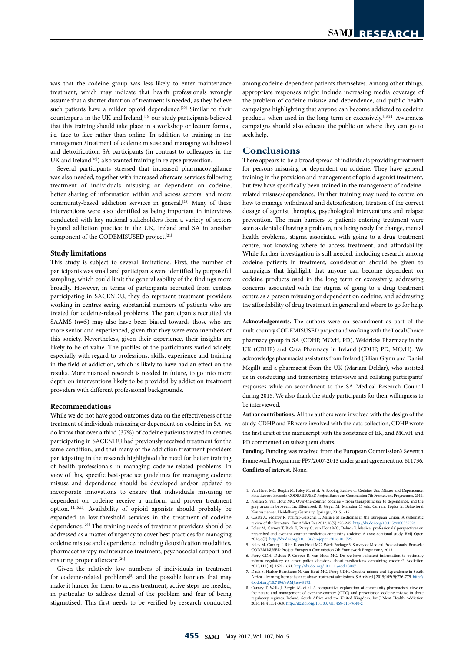was that the codeine group was less likely to enter maintenance treatment, which may indicate that health professionals wrongly assume that a shorter duration of treatment is needed, as they believe such patients have a milder opioid dependence.<sup>[22]</sup> Similar to their counterparts in the UK and Ireland,<sup>[16]</sup> our study participants believed that this training should take place in a workshop or lecture format, i.e. face to face rather than online. In addition to training in the management/treatment of codeine misuse and managing withdrawal and detoxification, SA participants (in contrast to colleagues in the UK and Ireland<sup>[16]</sup>) also wanted training in relapse prevention.

Several participants stressed that increased pharmacovigilance was also needed, together with increased aftercare services following treatment of individuals misusing or dependent on codeine, better sharing of information within and across sectors, and more community-based addiction services in general.<sup>[23]</sup> Many of these interventions were also identified as being important in interviews conducted with key national stakeholders from a variety of sectors beyond addiction practice in the UK, Ireland and SA in another component of the CODEMISUSED project.[24]

#### **Study limitations**

This study is subject to several limitations. First, the number of participants was small and participants were identified by purposeful sampling, which could limit the generalisability of the findings more broadly. However, in terms of participants recruited from centres participating in SACENDU, they do represent treatment providers working in centres seeing substantial numbers of patients who are treated for codeine-related problems. The participants recruited via SAAMS (*n*=5) may also have been biased towards those who are more senior and experienced, given that they were exco members of this society. Nevertheless, given their experience, their insights are likely to be of value. The profiles of the participants varied widely, especially with regard to professions, skills, experience and training in the field of addiction, which is likely to have had an effect on the results. More nuanced research is needed in future, to go into more depth on interventions likely to be provided by addiction treatment providers with different professional backgrounds.

#### **Recommendations**

While we do not have good outcomes data on the effectiveness of the treatment of individuals misusing or dependent on codeine in SA, we do know that over a third (37%) of codeine patients treated in centres participating in SACENDU had previously received treatment for the same condition, and that many of the addiction treatment providers participating in the research highlighted the need for better training of health professionals in managing codeine-related problems. In view of this, specific best-practice guidelines for managing codeine misuse and dependence should be developed and/or updated to incorporate innovations to ensure that individuals misusing or dependent on codeine receive a uniform and proven treatment option.[14,15,25] Availability of opioid agonists should probably be expanded to low-threshold services in the treatment of codeine dependence.<sup>[26]</sup> The training needs of treatment providers should be addressed as a matter of urgency to cover best practices for managing codeine misuse and dependence, including detoxification modalities, pharmacotherapy maintenance treatment, psychosocial support and ensuring proper aftercare.<sup>[24]</sup>

Given the relatively low numbers of individuals in treatment for codeine-related problems<sup>[5]</sup> and the possible barriers that may make it harder for them to access treatment, active steps are needed, in particular to address denial of the problem and fear of being stigmatised. This first needs to be verified by research conducted

among codeine-dependent patients themselves. Among other things, appropriate responses might include increasing media coverage of the problem of codeine misuse and dependence, and public health campaigns highlighting that anyone can become addicted to codeine products when used in the long term or excessively.[13,24] Awareness campaigns should also educate the public on where they can go to seek help.

## **Conclusions**

There appears to be a broad spread of individuals providing treatment for persons misusing or dependent on codeine. They have general training in the provision and management of opioid agonist treatment, but few have specifically been trained in the management of codeinerelated misuse/dependence. Further training may need to centre on how to manage withdrawal and detoxification, titration of the correct dosage of agonist therapies, psychological interventions and relapse prevention. The main barriers to patients entering treatment were seen as denial of having a problem, not being ready for change, mental health problems, stigma associated with going to a drug treatment centre, not knowing where to access treatment, and affordability. While further investigation is still needed, including research among codeine patients in treatment, consideration should be given to campaigns that highlight that anyone can become dependent on codeine products used in the long term or excessively, addressing concerns associated with the stigma of going to a drug treatment centre as a person misusing or dependent on codeine, and addressing the affordability of drug treatment in general and where to go for help.

**Acknowledgements.** The authors were on secondment as part of the multicountry CODEMISUSED project and working with the Local Choice pharmacy group in SA (CDHP, MCvH, PD), Weldricks Pharmacy in the UK (CDHP) and Cara Pharmacy in Ireland (CDHP, PD, MCvH). We acknowledge pharmacist assistants from Ireland (Jillian Glynn and Daniel Mcgill) and a pharmacist from the UK (Mariam Deldar), who assisted us in conducting and transcribing interviews and collating participants' responses while on secondment to the SA Medical Research Council during 2015. We also thank the study participants for their willingness to be interviewed.

**Author contributions.** All the authors were involved with the design of the study. CDHP and ER were involved with the data collection, CDHP wrote the first draft of the manuscript with the assistance of ER, and MCvH and PD commented on subsequent drafts.

**Funding.** Funding was received from the European Commission's Seventh Framework Programme FP7/2007-2013 under grant agreement no. 611736. **Conflicts of interest.** None.

- 1. Van Hout MC, Bergin M, Foley M, et al. A Scoping Review of Codeine Use, Misuse and Dependence:
- Final Report. Brussels: CODEMISUSED Project European Commission 7th Framework Programme, 2014. 2. Nielsen S, van Hout MC. Over-the-counter codeine from therapeutic use to dependence, and the
- grey areas in between. In: Ellenbroek B, Geyer M, Marsden C, eds. Current Topics in Behavioral Neurosciences. Heidelberg, Germany: Springer, 2015:1-17. 3. Casati A, Sedefov R, Pfeiffer-Gerschel T. Misuse of medicines in the European Union: A systematic
- review of the literature. Eur Addict Res 2012;18(5):228-245. http://dx.doi.org/10.1159/000337028 4. Foley M, Carney T, Rich E, Parry C, van Hout MC, Deluca P. Medical professionals' perspectives on
- prescribed and over-the-counter medicines containing codeine: A cross-sectional study. BMJ Open 2016;6(7). http://dx.doi.org/10.1136/bmjopen-2016-011725 5. Foley M, Carney T, Rich E, van Hout MC. Work Package 3. Survey of Medical Professionals. Brussels:
- CODEMISUSED Project European Commission 7th Framework Programme, 2015. 6. Parry CDH, Deluca P, Cooper R, van Hout MC. Do we have sufficient inform
- inform regulatory or other policy decisions about medications containing codeine? Addiction 2015;110(10):1690-1691. http://dx.doi.org/10.1111/add.13047
- 7. Dada S, Harker Burnhams N, van Hout MC, Parry CDH. Codeine misuse and dependence in South Africa – learning from substance abuse treatment admissions. S Afr Med J 2015;105(9):776-779. [http://](http://dx.doi.org/10.7196/SAMJnew.8172 ) [dx.doi.org/10.7196/SAMJnew.8172](http://dx.doi.org/10.7196/SAMJnew.8172 )
- 8. Carney T, Wells J, Bergin M, et al. A comparative exploration of community pharmacists' view on the nature and management of over-the-counter (OTC) and prescription codeine misuse in three regulatory regimes: Ireland, South Africa and the United Kingdom. Int J Ment Health Addiction 2016;14(4):351-369. http://dx.doi.org/10.1007/s11469-016-9640-z